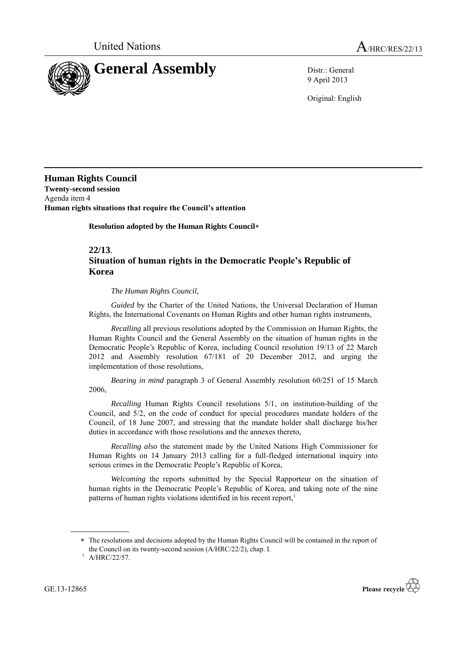

9 April 2013

Original: English

**Human Rights Council Twenty-second session** Agenda item 4 **Human rights situations that require the Council's attention**

**Resolution adopted by the Human Rights Council**

**22/13**.

## **Situation of human rights in the Democratic People's Republic of Korea**

*The Human Rights Council,* 

*Guided* by the Charter of the United Nations, the Universal Declaration of Human Rights, the International Covenants on Human Rights and other human rights instruments,

*Recalling* all previous resolutions adopted by the Commission on Human Rights, the Human Rights Council and the General Assembly on the situation of human rights in the Democratic People's Republic of Korea, including Council resolution 19/13 of 22 March 2012 and Assembly resolution 67/181 of 20 December 2012, and urging the implementation of those resolutions,

*Bearing in mind* paragraph 3 of General Assembly resolution 60/251 of 15 March 2006,

*Recalling* Human Rights Council resolutions 5/1, on institution-building of the Council, and 5/2, on the code of conduct for special procedures mandate holders of the Council, of 18 June 2007, and stressing that the mandate holder shall discharge his/her duties in accordance with those resolutions and the annexes thereto,

*Recalling also* the statement made by the United Nations High Commissioner for Human Rights on 14 January 2013 calling for a full-fledged international inquiry into serious crimes in the Democratic People's Republic of Korea,

*Welcoming* the reports submitted by the Special Rapporteur on the situation of human rights in the Democratic People's Republic of Korea, and taking note of the nine patterns of human rights violations identified in his recent report, 1

GE.13-12865



The resolutions and decisions adopted by the Human Rights Council will be contained in the report of the Council on its twenty-second session (A/HRC/22/2), chap. I.

 $1$  A/HRC/22/57.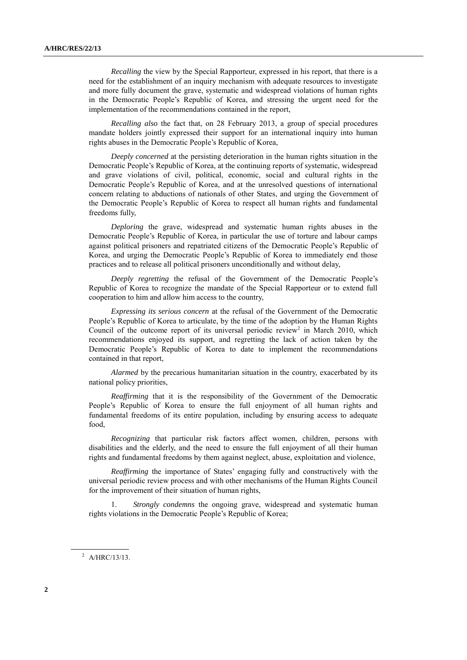*Recalling* the view by the Special Rapporteur, expressed in his report, that there is a need for the establishment of an inquiry mechanism with adequate resources to investigate and more fully document the grave, systematic and widespread violations of human rights in the Democratic People's Republic of Korea, and stressing the urgent need for the implementation of the recommendations contained in the report,

*Recalling also* the fact that, on 28 February 2013, a group of special procedures mandate holders jointly expressed their support for an international inquiry into human rights abuses in the Democratic People's Republic of Korea,

*Deeply concerned* at the persisting deterioration in the human rights situation in the Democratic People's Republic of Korea, at the continuing reports of systematic, widespread and grave violations of civil, political, economic, social and cultural rights in the Democratic People's Republic of Korea, and at the unresolved questions of international concern relating to abductions of nationals of other States, and urging the Government of the Democratic People's Republic of Korea to respect all human rights and fundamental freedoms fully,

*Deploring* the grave, widespread and systematic human rights abuses in the Democratic People's Republic of Korea, in particular the use of torture and labour camps against political prisoners and repatriated citizens of the Democratic People's Republic of Korea, and urging the Democratic People's Republic of Korea to immediately end those practices and to release all political prisoners unconditionally and without delay,

*Deeply regretting* the refusal of the Government of the Democratic People's Republic of Korea to recognize the mandate of the Special Rapporteur or to extend full cooperation to him and allow him access to the country,

*Expressing its serious concern* at the refusal of the Government of the Democratic People's Republic of Korea to articulate, by the time of the adoption by the Human Rights Council of the outcome report of its universal periodic review<sup>2</sup> in March 2010, which recommendations enjoyed its support, and regretting the lack of action taken by the Democratic People's Republic of Korea to date to implement the recommendations contained in that report,

*Alarmed* by the precarious humanitarian situation in the country, exacerbated by its national policy priorities,

*Reaffirming* that it is the responsibility of the Government of the Democratic People's Republic of Korea to ensure the full enjoyment of all human rights and fundamental freedoms of its entire population, including by ensuring access to adequate food,

*Recognizing* that particular risk factors affect women, children, persons with disabilities and the elderly, and the need to ensure the full enjoyment of all their human rights and fundamental freedoms by them against neglect, abuse, exploitation and violence,

*Reaffirming* the importance of States' engaging fully and constructively with the universal periodic review process and with other mechanisms of the Human Rights Council for the improvement of their situation of human rights,

1. *Strongly condemns* the ongoing grave, widespread and systematic human rights violations in the Democratic People's Republic of Korea;

 $^{2}$  A/HRC/13/13.